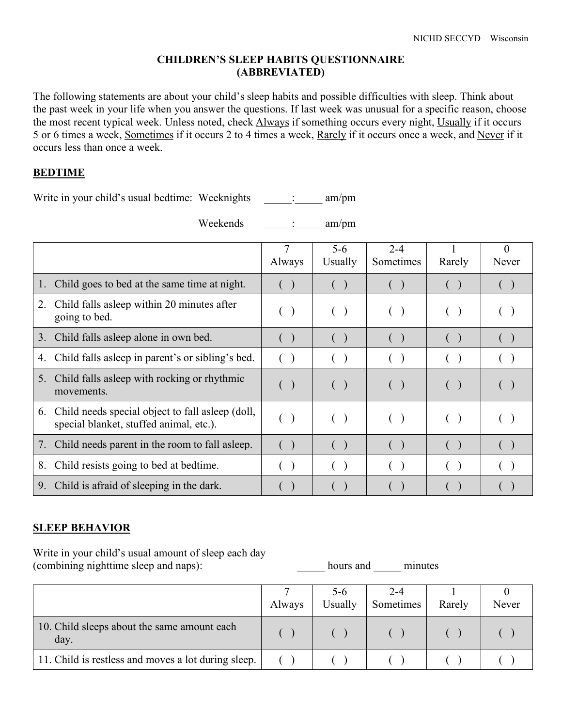#### **CHILDREN'S SLEEP HABITS QUESTIONNAIRE (ABBREVIATED)**

The following statements are about your child's sleep habits and possible difficulties with sleep. Think about the past week in your life when you answer the questions. If last week was unusual for a specific reason, choose the most recent typical week. Unless noted, check Always if something occurs every night, Usually if it occurs 5 or 6 times a week, Sometimes if it occurs 2 to 4 times a week, Rarely if it occurs once a week, and Never if it occurs less than once a week.

#### **BEDTIME**

Write in your child's usual bedtime: Weeknights \_\_\_\_\_: \_\_\_\_\_ am/pm

Weekends : am/pm

|                |                                                                                              | Always                                        | $5 - 6$<br>Usually | $2 - 4$<br>Sometimes | Rarely | $\theta$<br>Never      |
|----------------|----------------------------------------------------------------------------------------------|-----------------------------------------------|--------------------|----------------------|--------|------------------------|
| $\mathbf{1}$ . | Child goes to bed at the same time at night.                                                 |                                               |                    |                      |        |                        |
| 2.             | Child falls as leep within 20 minutes after<br>going to bed.                                 | $($ )                                         | ( )                | (                    | $($ )  |                        |
| 3.             | Child falls asleep alone in own bed.                                                         | $\left( \begin{array}{c} \end{array} \right)$ |                    | (                    |        |                        |
| 4.             | Child falls as leep in parent's or sibling's bed.                                            |                                               |                    |                      |        |                        |
| 5.             | Child falls as leep with rocking or rhythmic<br>movements.                                   | $\left( \begin{array}{c} \end{array} \right)$ | ( )                | $($ )                | ( )    | $\left( \quad \right)$ |
| 6.             | Child needs special object to fall as leep (doll,<br>special blanket, stuffed animal, etc.). | ( )                                           | ( )                | ( )                  | $($ )  |                        |
| 7.             | Child needs parent in the room to fall as leep.                                              | ( )                                           | ( )                | $($ )                |        |                        |
| 8.             | Child resists going to bed at bedtime.                                                       |                                               |                    |                      |        |                        |
|                | 9. Child is a fraid of sleeping in the dark.                                                 |                                               |                    |                      |        |                        |

### **SLEEP BEHAVIOR**

Write in your child's usual amount of sleep each day (combining nighttime sleep and naps):  $\qquad \qquad \text{hours and} \qquad \text{minutes}$ 

|                                                     | Always | 5-6<br>Usually | $2 - 4$<br>Sometimes | Rarely | Never |
|-----------------------------------------------------|--------|----------------|----------------------|--------|-------|
| 10. Child sleeps about the same amount each<br>day. |        |                |                      |        |       |
| 11. Child is restless and moves a lot during sleep. |        |                |                      |        |       |